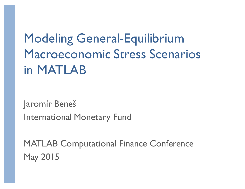# Modeling General-Equilibrium Macroeconomic Stress Scenarios in MATLAB

Jaromír Beneš International Monetary Fund

MATLAB Computational Finance Conference May 2015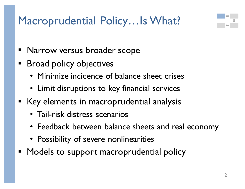### Macroprudential Policy...Is What?



- Narrow versus broader scope
- **Broad policy objectives** 
	- Minimize incidence of balance sheet crises
	- Limit disruptions to key financial services
- Key elements in macroprudential analysis
	- Tail-risk distress scenarios
	- Feedback between balance sheets and real economy
	- Possibility of severe nonlinearities
- Models to support macroprudential policy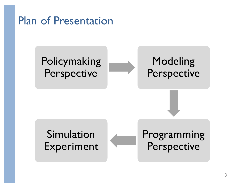Plan of Presentation

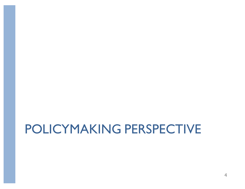# POLICYMAKING PERSPECTIVE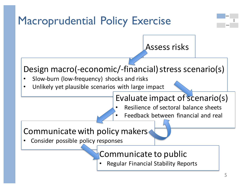### Macroprudential Policy Exercise



#### Assess risks

#### Design macro(-economic/-financial) stress scenario(s)

- Slow-burn (low-frequency) shocks and risks
- Unlikely yet plausible scenarios with large impact

#### Evaluate impact of scenario(s)

- Resilience of sectoral balance sheets
	- Feedback between financial and real

#### Communicate with policy makers

• Consider possible policy responses

#### Communicate to public

sectors

• Regular Financial Stability Reports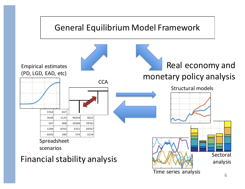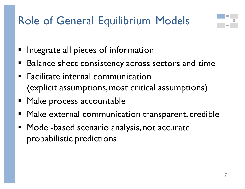### Role of General Equilibrium Models



- Integrate all pieces of information
- Balance sheet consistency across sectors and time
- Facilitate internal communication (explicit assumptions, most critical assumptions)
- Make process accountable
- Make external communication transparent, credible
- Model-based scenario analysis, not accurate probabilistic predictions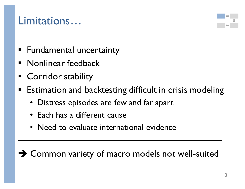#### Limitations…



- Fundamental uncertainty
- **Nonlinear feedback**
- § Corridor stability
- Estimation and backtesting difficult in crisis modeling
	- Distress episodes are few and far apart
	- Each has a different cause
	- Need to evaluate international evidence

 $\rightarrow$  Common variety of macro models not well-suited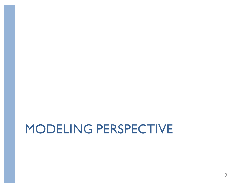## MODELING PERSPECTIVE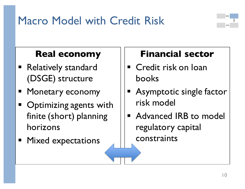### Macro Model with Credit Risk

#### **Real economy**

- Relatively standard (DSGE) structure
- Monetary economy
- Optimizing agents with finite (short) planning horizons
- Mixed expectations

#### **Financial sector**

- Credit risk on loan books
- Asymptotic single factor risk model
- Advanced IRB to model regulatory capital constraints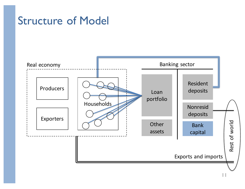#### Structure of Model



11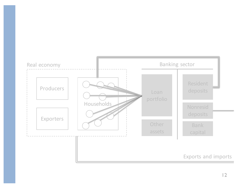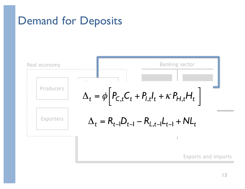### Demand for Deposits

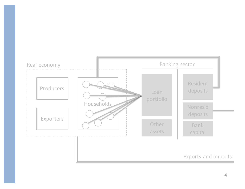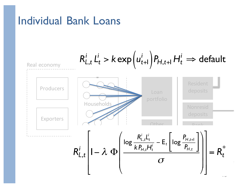#### Individual Bank Loans

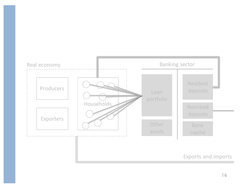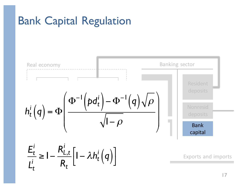### Bank Capital Regulation

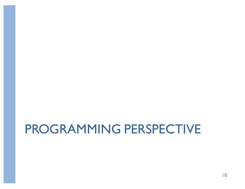## PROGRAMMING PERSPECTIVE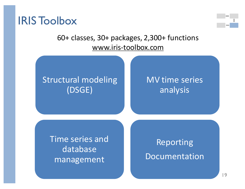



#### 60+ classes, 30+ packages, 2,300+ functions www.iris-toolbox.com

#### Structural modeling (DSGE)

#### MV time series analysis

Time series and database management

Reporting Documentation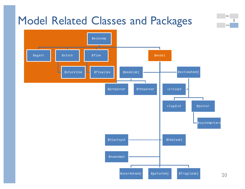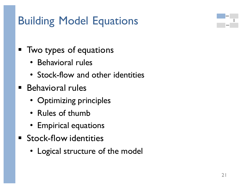### Building Model Equations

- Two types of equations
	- Behavioral rules
	- Stock-flow and other identities
- Behavioral rules
	- Optimizing principles
	- Rules of thumb
	- Empirical equations
- Stock-flow identities
	- Logical structure of the model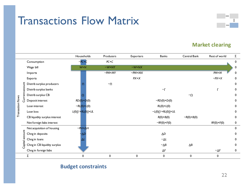#### Transactions Flow Matrix



#### **Market clearing**

|                   |                                      | Households                | Producers           | <b>Exporters</b>     | <b>Banks</b>               | Central Bank        | Rest of world       | Σ                |
|-------------------|--------------------------------------|---------------------------|---------------------|----------------------|----------------------------|---------------------|---------------------|------------------|
|                   | Consumption                          | $-PC \times C$            | $PC \times C$       |                      |                            |                     |                     | 0                |
|                   | Wage bill                            | <b>W×N</b>                | $-WxNY$             | $-WxNX$              |                            |                     |                     | $\mathbf 0$      |
|                   | Imports                              |                           | $-PM \times MY$     | $-M \times M \times$ |                            |                     | <b>PM×M</b>         | 0                |
|                   | Exports                              |                           |                     | PX×X                 |                            |                     | $-PX \times X$      | $\pmb{0}$        |
|                   | Distrib surplus producers            |                           | $-\boldsymbol{\Pi}$ |                      |                            |                     |                     | $\pmb{0}$        |
|                   | Distrib surplus banks                |                           |                     |                      | $-\Gamma$                  |                     |                     | 0                |
|                   | Currentaccount<br>Distrib surplus CB | Ω                         |                     |                      |                            | $-\Omega$           |                     | 0                |
|                   | Deposit interest                     | $RD(0) \times D(0)$       |                     |                      | $-RD(0) \times D(0)$       |                     |                     | 0                |
|                   | Loan interest                        | $-RL(0) \times L(0)$      |                     |                      | $RL(0) \times L(0)$        |                     |                     | 0                |
| Transaction flows | Loan loss                            | $L(0)[1+RL(0)] \times UL$ |                     |                      | $-L(0)[1+RL(0)] \times UL$ |                     |                     | 0                |
|                   | CB liquidity surplus interest        |                           |                     |                      | $R(0) \times B(0)$         | $-R(0) \times B(0)$ |                     | 0                |
|                   | Net foreign liabs interest           |                           |                     |                      | $-RF(0) \times F(0)$       |                     | $RF(0) \times F(0)$ | $\boldsymbol{0}$ |
|                   | Net acquisition of housing           | $-PH\times\Delta H$       |                     |                      |                            |                     |                     | 0                |
|                   | Capital account<br>Chng in deposits  | ŁΔD                       |                     |                      | $\Delta D$                 |                     |                     | 0                |
|                   | Chng in loans                        | ΔL                        |                     |                      | $-\Delta L$                |                     |                     | 0                |
|                   | Chng in CB liquidity surplus         |                           |                     |                      | $-\Delta B$                | $\Delta B$          |                     | 0                |
|                   | Chng in foreign liabs                |                           |                     |                      | $\Delta\!F$                |                     | $-\Delta F$         | 0                |
|                   | Σ                                    | 0                         | 0                   | 0                    | 0                          | 0                   | 0                   |                  |

#### **Budget constraints**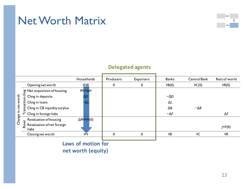#### Net Worth Matrix



#### **Delegated agents**

|                           |                                                                 | Households                | Producers        | <b>Exporters</b> | <b>Banks</b> | <b>Central Bank</b> | Rest of world   |
|---------------------------|-----------------------------------------------------------------|---------------------------|------------------|------------------|--------------|---------------------|-----------------|
|                           | Opening net worth                                               | VH <sub>0</sub>           | $\boldsymbol{0}$ | 0                | VB(0)        | VC(0)               | VR(0)           |
|                           | $\frac{80}{5}$ Net acquisition of housing<br>5 Chas in deposits | $PH \times \Delta H$      |                  |                  |              |                     |                 |
| net worth<br>크.<br>Change | Chng in deposits                                                | $\Delta D$                |                  |                  | $-\Delta D$  |                     |                 |
|                           | action<br>Chng in Ioans                                         | -ΔΙ                       |                  |                  | ΔL           |                     |                 |
|                           | Chng in CB liquidity surplus<br>Sue                             |                           |                  |                  | $\Delta B$   | $-\Delta B$         |                 |
|                           | Chng in foreign liabs                                           |                           |                  |                  | $-\Delta F$  |                     | $\Delta F$      |
|                           | $\frac{1}{8}$ Revaluation of housing                            | $\Delta$ PH $\times$ H(0) |                  |                  |              |                     |                 |
|                           | Revaluation of net foreign<br>فع<br>liabs                       |                           |                  |                  |              |                     | $J \times F(0)$ |
|                           | Closing net worth                                               | VH                        | 0                | 0                | <b>VB</b>    | VC                  | <b>VR</b>       |
|                           |                                                                 |                           |                  |                  |              |                     |                 |

**Laws of motion for net worth (equity)**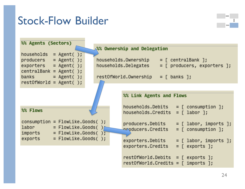#### Stock-Flow Builder

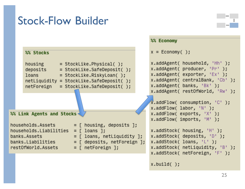### Stock-Flow Builder

|                                                                                                                                                                                                                                                                                                                                                                                                                                                                                           | %% Economy                                                                                                                                                                                                                                                                                                                                                                                                                                                                |
|-------------------------------------------------------------------------------------------------------------------------------------------------------------------------------------------------------------------------------------------------------------------------------------------------------------------------------------------------------------------------------------------------------------------------------------------------------------------------------------------|---------------------------------------------------------------------------------------------------------------------------------------------------------------------------------------------------------------------------------------------------------------------------------------------------------------------------------------------------------------------------------------------------------------------------------------------------------------------------|
| %% Stocks                                                                                                                                                                                                                                                                                                                                                                                                                                                                                 | $x = E_{\text{conomy}}( )$ ;                                                                                                                                                                                                                                                                                                                                                                                                                                              |
| housing<br>$=$ StockLike.Physical();<br>deposits<br>= StockLike.SafeDeposit();<br>= StockLike.RiskyLoan();<br>loans<br>$netLighty = StockLike.SafeDeposit()$ ;<br>netForeign<br>= StockLike.SafeDeposit();<br>%% Link Agents and Stocks<br>households.Assets<br>$=$ [ housing, deposits ];<br>households.Liabilities<br>$=$ [ loans ];<br>$=$ [ loans, netLiquidity ];<br>banks.Assets<br>$=$ [ deposits, netForeign ];<br>banks.Liabilities<br>$=$ [ netForeign ];<br>restOfWorld.Assets | x.addAgent( household, 'Hh' );<br>x.addAgent( producer, 'Pr' );<br>x.addAgent(exporter, 'Ex' );<br>x.addAgent( centralBank, 'Cb' );<br>x.addAgent(banks, 'Bk');<br>x.addAgent( restOfWorld, 'Rw' );<br>$\chi$ .addFlow( consumption, 'C' );<br>$x.addFlow(labor, 'N')$ ;<br>$x.addFlow($ exports, $'X'$ );<br>x.addFlow( imports, 'M' );<br>x.addStock( housing, 'H' );<br>x.addStock( deposits, 'D' );<br>$x.addStock(loans, 'L')$ ;<br>x.addStock( netLiquidity, 'B' ); |
|                                                                                                                                                                                                                                                                                                                                                                                                                                                                                           | x.addStock( netForeign, 'F' );<br>x.buid()                                                                                                                                                                                                                                                                                                                                                                                                                                |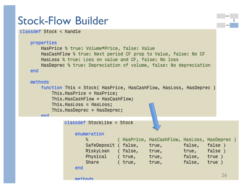#### Stock-Flow Builder

end

methods

```
classdef Stock < handle
```

```
properties
    HasPrice % true: Volume*Price, false: Value
    HasCashFlow % true: Next period CF prop to Value, false: No CF
    HasLoss % true: Loss on value and CF, false: No loss
    HasDeprec % true: Depreciation of volume, false: No depreciation
end
methods
   function This = Stock( HasPrice, HasCashFlow, HasLoss, HasDeprec )
       This.HasPrice = HasPrice;
       This.HasCashFlow = HasCashFlow;
       This.HasLoss = HasLoss;This.HasDeprec = HasDeprec;
    And
            classdef StockLike < Stock
                enumeration
                    \boldsymbol{\mathsf{x}}( HasPrice, HasCashFlow, HasLoss, HasDeprec )
                    SafeDeposit (false,
                                            true,
                                                        false, false)
                    RiskyLoan
                                (false, true,
                                                        true, false)
                    Physical
                                ( true,
                                          true,
                                                        false, true )
                    Share
                                                         false, true)
                                ( true,
                                            true,
```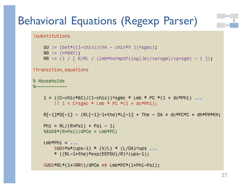### Behavioral Equations (Regexp Parser)

!substitutions

```
UU := (bet * ((1-chiv)/(Ve - chiv *V)) \triangle sgmc);
NO := (n * & NRR := (1 / [R/RL / (lmb*normpdf(log(Je)/varsgm)/varsgm) - 1]);
```

```
!transition_equations
```
% Households  $%-----$ 

```
1 = ((C-chic*&C)/(1-chic))^sgmc * Lmb * PC *(1 + dc*Phi)...
    !! 1 = C \text{~sum} * Lmb * PC * (1 + dc * Phi);
```

```
R\{-1\} * D\{-1\} - (RL\{-1\}-1+the)*L\{-1\} + The - DA = dc*PC*C + dh*PH*KH;
```

```
Phi = RL/(R+Psi) + Psi - 1;%$UU$*(R+Psi)/dPCe = Lmb*PC;
```

```
Lmb*Phi = \ldots$UU$*a*(ups-1) * (V/L) * (L/DA)/ups ...
    * ((RL-1+the)*exp(EEPDU)/R)^(ups-1);
```

```
$UU$*RL*(1+$RR$)/dPCe = # Lmb*PC*(1+Phi-Psi);
```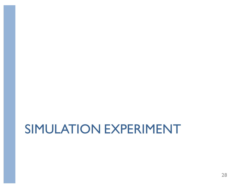# SIMULATION EXPERIMENT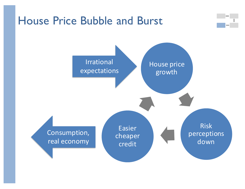